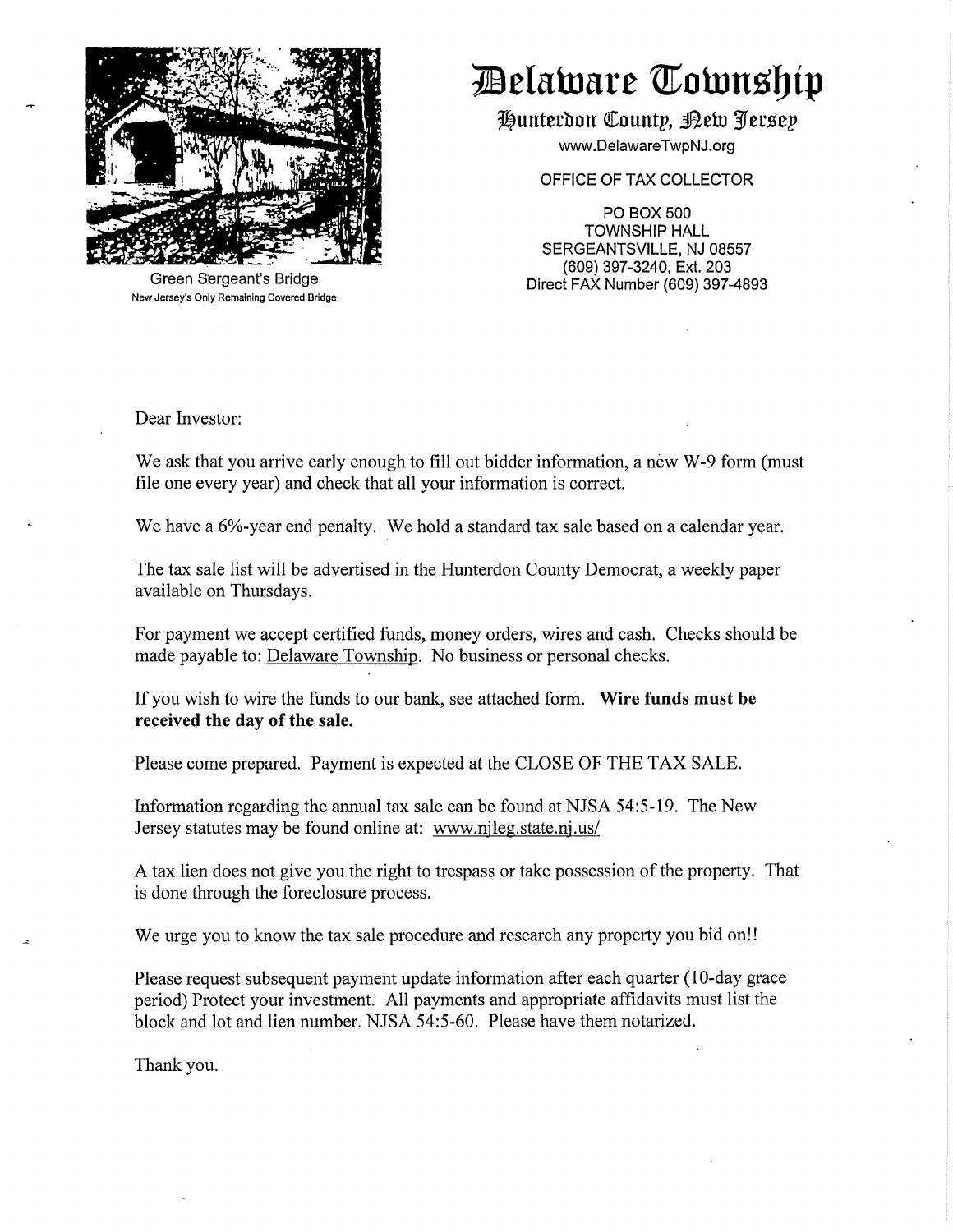

**I**Belaware **Township** 

**rt)untetl:ron QI:ountp, ~ehl** *3'f* **er.sep** 

www.DelawareTwpNJ.org

OFFICE OF TAX COLLECTOR

PO BOX500 TOWNSHIP HALL SERGEANTSVILLE, NJ 08557 (609) 397-3240, Ext. 203 Direct FAX Number (609) 397-4893

Green Sergeant's Bridge New Jersey's Only Remaining Covered Bridge

Dear Investor:

We ask that you arrive early enough to fill out bidder information, a new W-9 form (must file one every year) and check that all your information is correct.

We have a 6%-year end penalty. We hold a standard tax sale based on a calendar year.

The tax sale list will be advertised in the Hunterdon County Democrat, a weekly paper available on Thursdays.

For payment we accept certified funds, money orders, wires and cash. Checks should be made payable to: Delaware Township. No business or personal checks.

If you wish to wire the funds to our bank, see attached form. **Wire funds must be received the day of the sale.** 

Please come prepared. Payment is expected at the CLOSE OF THE TAX SALE.

Information regarding the annual tax sale can be found at NJSA 54:5-19. The New Jersey statutes may be found online at: www.njleg.state.nj.us/

A tax lien does not give you the right to trespass or take possession of the property. That is done through the foreclosure process.

We urge you to know the tax sale procedure and research any property you bid on!!

Please request subsequent payment update information after each quarter (10-day grace period) Protect your investment. All payments and appropriate affidavits must list the block and lot and lien number. NJSA 54:5-60. Please have them notarized.

Thank you.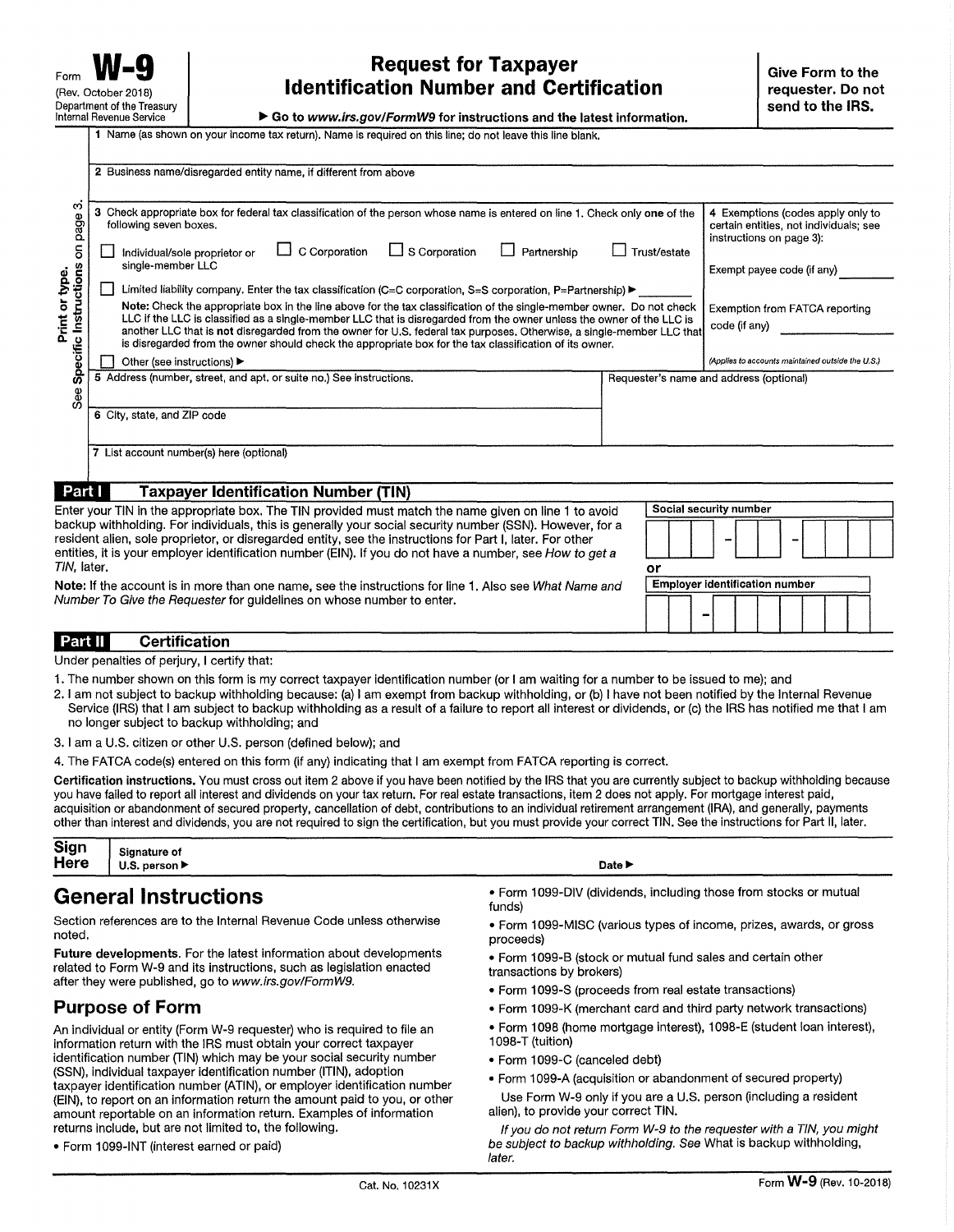## Form **W-9 Conserved Burger Request for Taxpayer** and Certification **Propertion of the propertion of the set of the set of the set of the set of the set of the set of the set of the set of the set of the set of the set of**

▶ Go to *www.irs.gov/FormW9* for instructions and the latest information.

| ∞<br>page<br>$\overline{5}$<br>Instructions<br>Print or type.<br>Specific<br>See | Check appropriate box for federal tax classification of the person whose name is entered on line 1. Check only one of the<br>з<br>following seven boxes.<br>$\Box$ S Corporation<br>$\Box$ C Corporation<br>Partnership<br>Trust/estate<br>Individual/sole proprietor or<br>single-member LLC<br>Limited liability company. Enter the tax classification (C=C corporation, S=S corporation, P=Partnership) $\blacktriangleright$<br>Note: Check the appropriate box in the line above for the tax classification of the single-member owner. Do not check<br>LLC if the LLC is classified as a single-member LLC that is disregarded from the owner unless the owner of the LLC is<br>another LLC that is not disregarded from the owner for U.S. federal tax purposes. Otherwise, a single-member LLC that<br>is disregarded from the owner should check the appropriate box for the tax classification of its owner.<br>Other (see instructions) ▶<br>5 Address (number, street, and apt. or suite no.) See instructions.<br>Requester's name and address (optional)<br>6 City, state, and ZIP code<br>7 List account number(s) here (optional) | 4 Exemptions (codes apply only to<br>certain entities, not individuals; see<br>instructions on page 3):<br>Exempt payee code (if any)<br>Exemption from FATCA reporting<br>code (if any)<br>(Applies to accounts maintained outside the U.S.) |
|----------------------------------------------------------------------------------|---------------------------------------------------------------------------------------------------------------------------------------------------------------------------------------------------------------------------------------------------------------------------------------------------------------------------------------------------------------------------------------------------------------------------------------------------------------------------------------------------------------------------------------------------------------------------------------------------------------------------------------------------------------------------------------------------------------------------------------------------------------------------------------------------------------------------------------------------------------------------------------------------------------------------------------------------------------------------------------------------------------------------------------------------------------------------------------------------------------------------------------------------|-----------------------------------------------------------------------------------------------------------------------------------------------------------------------------------------------------------------------------------------------|
|                                                                                  |                                                                                                                                                                                                                                                                                                                                                                                                                                                                                                                                                                                                                                                                                                                                                                                                                                                                                                                                                                                                                                                                                                                                                   |                                                                                                                                                                                                                                               |
| Part I                                                                           | <b>Taxpayer Identification Number (TIN)</b><br>Enter your TIN in the appropriate box. The TIN provided must match the name given on line 1 to avoid                                                                                                                                                                                                                                                                                                                                                                                                                                                                                                                                                                                                                                                                                                                                                                                                                                                                                                                                                                                               | Social security number                                                                                                                                                                                                                        |

| Enter your TIN in the appropriate box. The TIN provided must match the name given on line 1 to avoid      | <b>SUCIAL SECUTIVE HUILDER</b> |
|-----------------------------------------------------------------------------------------------------------|--------------------------------|
| backup withholding. For individuals, this is generally your social security number (SSN). However, for a  |                                |
| resident alien, sole proprietor, or disregarded entity, see the instructions for Part I, later. For other | -                              |
| entities, it is your employer identification number (EIN). If you do not have a number, see How to get a  |                                |
| TIN. later.                                                                                               |                                |
| Note: If the account is in more than one name, see the instructions for line 1. Also see What Name and    | Employer identification number |

**Note:** If the account is in more than one name, see the instructions for line 1. Also see What Name and Number To Give the Requester for guidelines on whose number to enter.

**1** Name (as shown on your income tax return). Name Is required on this line; do not leave this line blank.

#### **Certification**  Part II

Under penalties of perjury, I certify that:

- 1. The number shown on this form is my correct taxpayer identification number (or I am waiting for a number to be issued to me); and
- 2. I am not subject to backup withholding because: (a) I am exempt from backup withholding, or (b) I have not been notified by the Internal Revenue Service (IRS) that I am subject to backup withholding as a result of a failure to report all interest or dividends, or (c) the IRS has notified me that I am no longer subject to backup withholding; and
- 3. I am a U.S. citizen or other U.S. person (defined below); and
- 4. The FATCA code(s) entered on this form (if any) indicating that I am exempt from FATCA reporting is correct.

**Certification instructions.** You must cross out item 2 above if you have been notified by the IRS that you are currently subject to backup withholding because you have failed to report all interest and dividends on your tax return. For real estate transactions, item 2 does not apply. For mortgage interest paid, acquisition or abandonment of secured property, cancellation of debt, contributions to an individual retirement arrangement (IRA), and generally, payments other than interest and dividends, you are not required to sign the certification, but you must provide your correct TIN. See the instructions for Part 11, later.

| Sign | <b>Signature of</b>               |
|------|-----------------------------------|
| Here | U.S. person $\blacktriangleright$ |

#### **General Instructions**

Section references are to the Internal Revenue Code unless otherwise noted.

**Future developments.** For the latest information about developments related to Form W-9 and its instructions, such as legislation enacted after they were published, go to www.irs.gov/FormW9.

#### **Purpose of Form**

An individual or entity (Form W-9 requester) who is required to file an information return with the IRS must obtain your correct taxpayer identification number (TIN) which may be your social security number (SSN), individual taxpayer identification number (ITIN), adoption taxpayer identification number (ATIN), or employer identification number (EIN), to report on an information return the amount paid to you, or other amount reportable on an information return. Examples of information returns include, but are not limited to, the following.

• Form 1099-INT (interest earned or paid)

- Form 1099-DIV (dividends, including those from stocks or mutual funds)
- Form 1099-MISC (various types of income, prizes, awards, or gross proceeds)
- Form 1099-8 (stock or mutual fund sales and certain other transactions by brokers)
- Form 1099-S (proceeds from real estate transactions)

Date ►

- Form 1099-K (merchant card and third party network transactions)
- Form 1098 (home mortgage interest), 1098-E (student loan interest), 1098-T (tuition)
- Form 1099-C (canceled debt)
- Form 1099-A (acquisition or abandonment of secured property)
- Use Form W-9 only if you are a U.S. person (including a resident alien), to provide your correct TIN.

If you do not return Form W-9 to the requester with a TIN, you might be subject to backup withholding. See What is backup withholding, later.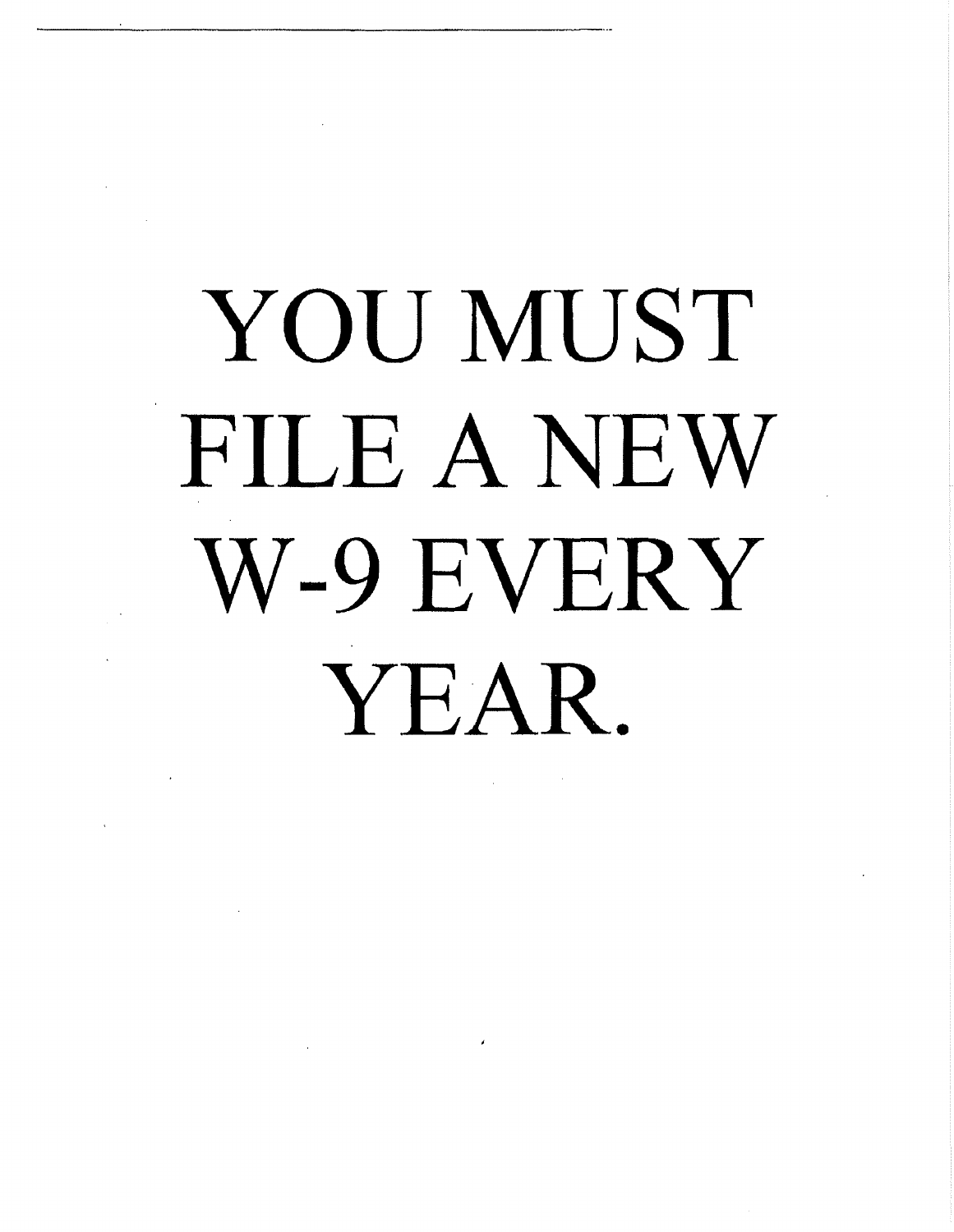# YOU MUST FILE A NEW W-9 EVERY YEAR.

 $\mathcal{L}_{\text{max}}$  and  $\mathcal{L}_{\text{max}}$  . The  $\mathcal{L}_{\text{max}}$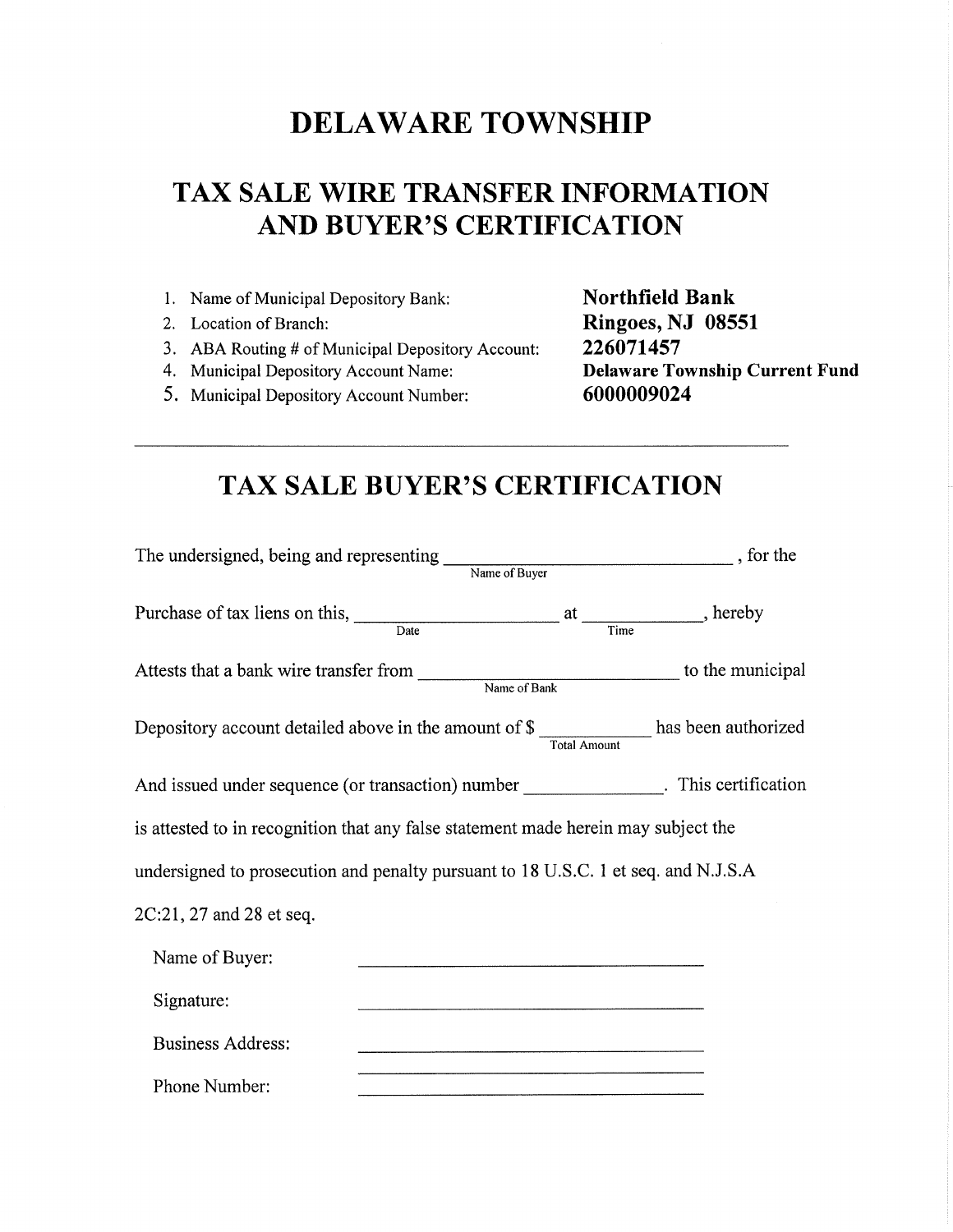## **DELA WARE TOWNSHIP**

## **TAX SALE WIRE TRANSFER INFORMATION AND BUYER'S CERTIFICATION**

- I. Name of Municipal Depository Bank:
- 2. Location of Branch:
- 3. ABA Routing # of Municipal Depository Account:
- 4. Municipal Depository Account Name:
- 5. Municipal Depository Account Number:

**Northfield Bank Ringoes, NJ 08551 226071457 Delaware Township Current Fund 6000009024** 

#### **TAX SALE BUYER'S CERTIFICATION**

| The undersigned, being and representing                                                                      | $\begin{tabular}{l} Name of Burger \\ \hline \end{tabular} \normalsize \begin{tabular}{p{0.8cm} \hline \hline \textbf{Name of Buyer} } \end{tabular} \normalsize \begin{tabular}{p{0.8cm} \hline \textbf{Name of Buyer} } \end{tabular} \normalsize \begin{tabular}{p{0.8cm} \hline \textbf{Name of Buyer} } \end{tabular} \normalsize \begin{tabular}{p{0.8cm} \hline \textbf{Name of Buyer} } \end{tabular} \normalsize \begin{tabular}{p{0.8cm} \hline \textbf{Name of Buyer} } \end{tabular} \normalsize \begin{tabular}{p{0.8cm$ |
|--------------------------------------------------------------------------------------------------------------|---------------------------------------------------------------------------------------------------------------------------------------------------------------------------------------------------------------------------------------------------------------------------------------------------------------------------------------------------------------------------------------------------------------------------------------------------------------------------------------------------------------------------------------|
| Purchase of tax liens on this, $\frac{a}{a}$ at $\frac{a}{a}$ , hereby                                       |                                                                                                                                                                                                                                                                                                                                                                                                                                                                                                                                       |
| Attests that a bank wire transfer from Name of Bank to the municipal                                         |                                                                                                                                                                                                                                                                                                                                                                                                                                                                                                                                       |
| Depository account detailed above in the amount of $\frac{1}{\pi}$ mount $\frac{1}{\pi}$ has been authorized |                                                                                                                                                                                                                                                                                                                                                                                                                                                                                                                                       |
| And issued under sequence (or transaction) number _______________. This certification                        |                                                                                                                                                                                                                                                                                                                                                                                                                                                                                                                                       |
| is attested to in recognition that any false statement made herein may subject the                           |                                                                                                                                                                                                                                                                                                                                                                                                                                                                                                                                       |
| undersigned to prosecution and penalty pursuant to 18 U.S.C. 1 et seq. and N.J.S.A                           |                                                                                                                                                                                                                                                                                                                                                                                                                                                                                                                                       |
| 2C:21, 27 and 28 et seq.                                                                                     |                                                                                                                                                                                                                                                                                                                                                                                                                                                                                                                                       |
| Name of Buyer:                                                                                               |                                                                                                                                                                                                                                                                                                                                                                                                                                                                                                                                       |
| Signature:                                                                                                   |                                                                                                                                                                                                                                                                                                                                                                                                                                                                                                                                       |
| <b>Business Address:</b>                                                                                     |                                                                                                                                                                                                                                                                                                                                                                                                                                                                                                                                       |
| Phone Number:                                                                                                |                                                                                                                                                                                                                                                                                                                                                                                                                                                                                                                                       |